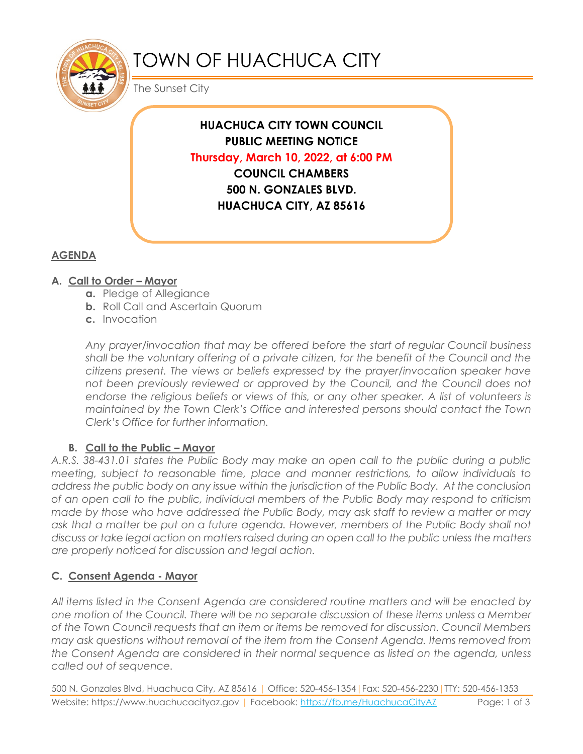

# TOWN OF HUACHUCA CITY

The Sunset City

**HUACHUCA CITY TOWN COUNCIL PUBLIC MEETING NOTICE Thursday, March 10, 2022, at 6:00 PM COUNCIL CHAMBERS 500 N. GONZALES BLVD. HUACHUCA CITY, AZ 85616** 

# **AGENDA**

## **A. Call to Order – Mayor**

- **a.** Pledge of Allegiance
- **b.** Roll Call and Ascertain Quorum
- **c.** Invocation

*Any prayer/invocation that may be offered before the start of regular Council business shall be the voluntary offering of a private citizen, for the benefit of the Council and the citizens present. The views or beliefs expressed by the prayer/invocation speaker have*  not been previously reviewed or approved by the Council, and the Council does not endorse the religious beliefs or views of this, or any other speaker. A list of volunteers is *maintained by the Town Clerk's Office and interested persons should contact the Town Clerk's Office for further information.*

### **B. Call to the Public – Mayor**

*A.R.S. 38-431.01 states the Public Body may make an open call to the public during a public meeting, subject to reasonable time, place and manner restrictions, to allow individuals to address the public body on any issue within the jurisdiction of the Public Body. At the conclusion of an open call to the public, individual members of the Public Body may respond to criticism made by those who have addressed the Public Body, may ask staff to review a matter or may ask that a matter be put on a future agenda. However, members of the Public Body shall not discuss or take legal action on matters raised during an open call to the public unless the matters are properly noticed for discussion and legal action.*

# **C. Consent Agenda - Mayor**

*All items listed in the Consent Agenda are considered routine matters and will be enacted by one motion of the Council. There will be no separate discussion of these items unless a Member of the Town Council requests that an item or items be removed for discussion. Council Members may ask questions without removal of the item from the Consent Agenda. Items removed from the Consent Agenda are considered in their normal sequence as listed on the agenda, unless called out of sequence.* 

500 N. Gonzales Blvd, Huachuca City, AZ 85616 | Office: 520-456-1354|Fax: 520-456-2230|TTY: 520-456-1353 Website: https://www.huachucacityaz.gov | Facebook:<https://fb.me/HuachucaCityAZ> Page: 1 of 3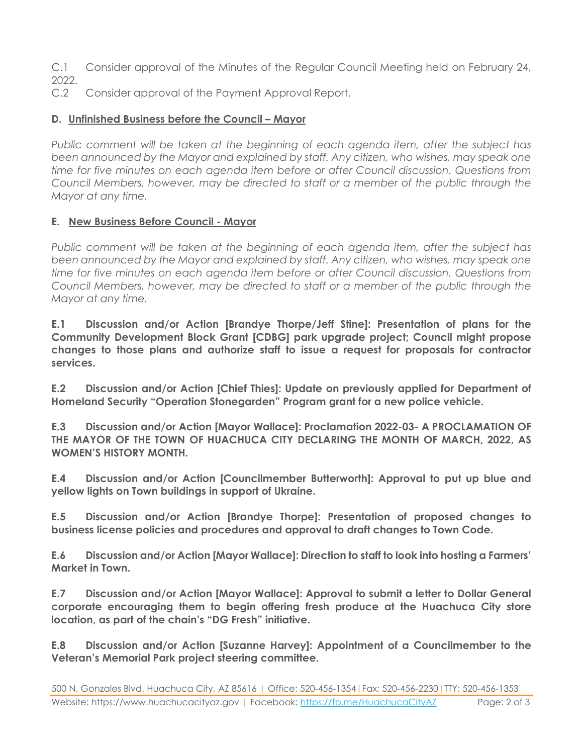C.1 Consider approval of the Minutes of the Regular Council Meeting held on February 24, 2022.

C.2 Consider approval of the Payment Approval Report.

#### **D. Unfinished Business before the Council – Mayor**

*Public comment will be taken at the beginning of each agenda item, after the subject has been announced by the Mayor and explained by staff. Any citizen, who wishes, may speak one time for five minutes on each agenda item before or after Council discussion. Questions from Council Members, however, may be directed to staff or a member of the public through the Mayor at any time.*

#### **E. New Business Before Council - Mayor**

*Public comment will be taken at the beginning of each agenda item, after the subject has been announced by the Mayor and explained by staff. Any citizen, who wishes, may speak one time for five minutes on each agenda item before or after Council discussion. Questions from Council Members, however, may be directed to staff or a member of the public through the Mayor at any time.* 

**E.1 Discussion and/or Action [Brandye Thorpe/Jeff Stine]: Presentation of plans for the Community Development Block Grant [CDBG] park upgrade project; Council might propose changes to those plans and authorize staff to issue a request for proposals for contractor services.** 

**E.2 Discussion and/or Action [Chief Thies]: Update on previously applied for Department of Homeland Security "Operation Stonegarden" Program grant for a new police vehicle.** 

**E.3 Discussion and/or Action [Mayor Wallace]: Proclamation 2022-03- A PROCLAMATION OF THE MAYOR OF THE TOWN OF HUACHUCA CITY DECLARING THE MONTH OF MARCH, 2022, AS WOMEN'S HISTORY MONTH.**

**E.4 Discussion and/or Action [Councilmember Butterworth]: Approval to put up blue and yellow lights on Town buildings in support of Ukraine.**

**E.5 Discussion and/or Action [Brandye Thorpe]: Presentation of proposed changes to business license policies and procedures and approval to draft changes to Town Code.**

**E.6 Discussion and/or Action [Mayor Wallace]: Direction to staff to look into hosting a Farmers' Market in Town.**

**E.7 Discussion and/or Action [Mayor Wallace]: Approval to submit a letter to Dollar General corporate encouraging them to begin offering fresh produce at the Huachuca City store location, as part of the chain's "DG Fresh" initiative.** 

**E.8 Discussion and/or Action [Suzanne Harvey]: Appointment of a Councilmember to the Veteran's Memorial Park project steering committee.**